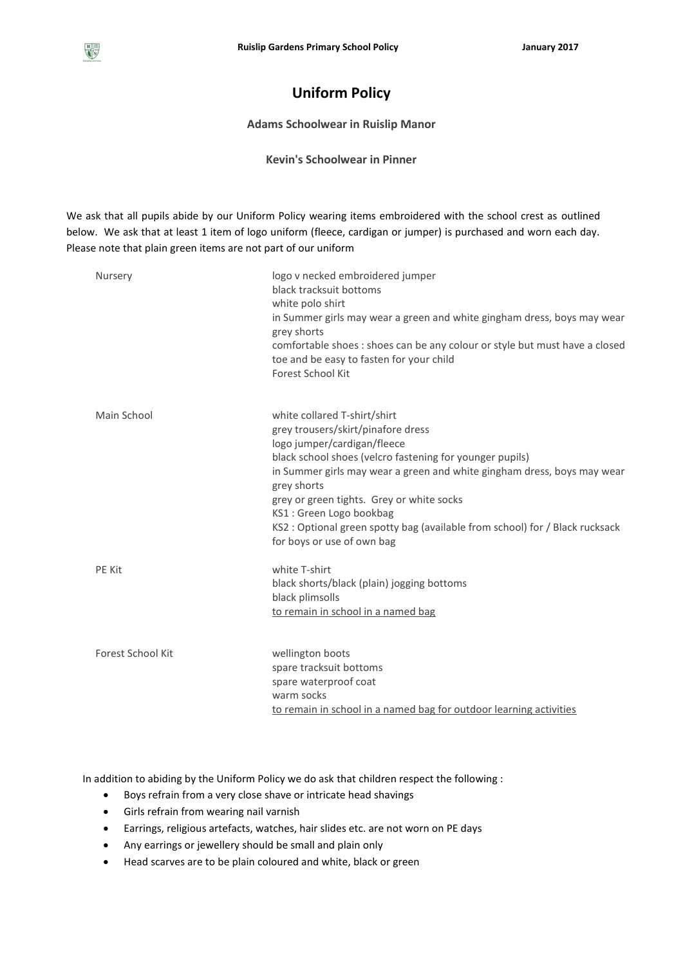## **Uniform Policy**

## **Adams Schoolwear in Ruislip Manor**

**Kevin's Schoolwear in Pinner**

We ask that all pupils abide by our Uniform Policy wearing items embroidered with the school crest as outlined below. We ask that at least 1 item of logo uniform (fleece, cardigan or jumper) is purchased and worn each day. Please note that plain green items are not part of our uniform

| Nursery           | logo v necked embroidered jumper<br>black tracksuit bottoms<br>white polo shirt<br>in Summer girls may wear a green and white gingham dress, boys may wear<br>grey shorts<br>comfortable shoes : shoes can be any colour or style but must have a closed<br>toe and be easy to fasten for your child<br>Forest School Kit                                                                                                                     |
|-------------------|-----------------------------------------------------------------------------------------------------------------------------------------------------------------------------------------------------------------------------------------------------------------------------------------------------------------------------------------------------------------------------------------------------------------------------------------------|
| Main School       | white collared T-shirt/shirt<br>grey trousers/skirt/pinafore dress<br>logo jumper/cardigan/fleece<br>black school shoes (velcro fastening for younger pupils)<br>in Summer girls may wear a green and white gingham dress, boys may wear<br>grey shorts<br>grey or green tights. Grey or white socks<br>KS1: Green Logo bookbag<br>KS2 : Optional green spotty bag (available from school) for / Black rucksack<br>for boys or use of own bag |
| PE Kit            | white T-shirt<br>black shorts/black (plain) jogging bottoms<br>black plimsolls<br>to remain in school in a named bag                                                                                                                                                                                                                                                                                                                          |
| Forest School Kit | wellington boots<br>spare tracksuit bottoms<br>spare waterproof coat<br>warm socks<br>to remain in school in a named bag for outdoor learning activities                                                                                                                                                                                                                                                                                      |

In addition to abiding by the Uniform Policy we do ask that children respect the following :

- Boys refrain from a very close shave or intricate head shavings
- Girls refrain from wearing nail varnish
- Earrings, religious artefacts, watches, hair slides etc. are not worn on PE days
- Any earrings or jewellery should be small and plain only
- Head scarves are to be plain coloured and white, black or green

 $\begin{tabular}{|c|c|} \hline R & \\\hline \hline $G$ \\ \hline $\bullet$ & $S$ \\ \hline \end{tabular}$